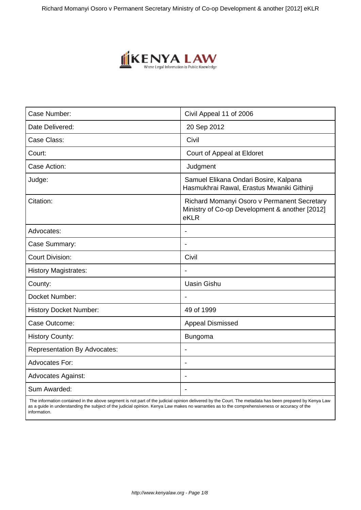

| Case Number:                        | Civil Appeal 11 of 2006                                                                               |
|-------------------------------------|-------------------------------------------------------------------------------------------------------|
| Date Delivered:                     | 20 Sep 2012                                                                                           |
| Case Class:                         | Civil                                                                                                 |
| Court:                              | Court of Appeal at Eldoret                                                                            |
| Case Action:                        | Judgment                                                                                              |
| Judge:                              | Samuel Elikana Ondari Bosire, Kalpana<br>Hasmukhrai Rawal, Erastus Mwaniki Githinji                   |
| Citation:                           | Richard Momanyi Osoro v Permanent Secretary<br>Ministry of Co-op Development & another [2012]<br>eKLR |
| Advocates:                          | $\overline{\phantom{a}}$                                                                              |
| Case Summary:                       |                                                                                                       |
| <b>Court Division:</b>              | Civil                                                                                                 |
| <b>History Magistrates:</b>         | $\overline{\phantom{a}}$                                                                              |
| County:                             | <b>Uasin Gishu</b>                                                                                    |
| Docket Number:                      |                                                                                                       |
| <b>History Docket Number:</b>       | 49 of 1999                                                                                            |
| Case Outcome:                       | <b>Appeal Dismissed</b>                                                                               |
| <b>History County:</b>              | Bungoma                                                                                               |
| <b>Representation By Advocates:</b> |                                                                                                       |
| <b>Advocates For:</b>               | $\blacksquare$                                                                                        |
| <b>Advocates Against:</b>           | $\overline{\phantom{a}}$                                                                              |
| Sum Awarded:                        |                                                                                                       |

 The information contained in the above segment is not part of the judicial opinion delivered by the Court. The metadata has been prepared by Kenya Law as a guide in understanding the subject of the judicial opinion. Kenya Law makes no warranties as to the comprehensiveness or accuracy of the information.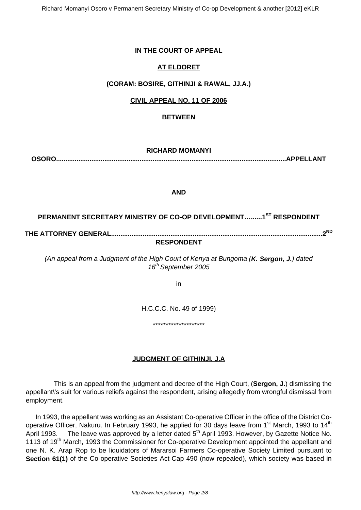## **IN THE COURT OF APPEAL**

# **AT ELDORET**

## **(CORAM: BOSIRE, GITHINJI & RAWAL, JJ.A.)**

## **CIVIL APPEAL NO. 11 OF 2006**

### **BETWEEN**

**RICHARD MOMANYI OSORO............................................................................................................................APPELLANT**

#### **AND**

### **PERMANENT SECRETARY MINISTRY OF CO-OP DEVELOPMENT…......1ST RESPONDENT**

**THE ATTORNEY GENERAL..................................................................................................................2ND RESPONDENT**

(An appeal from a Judgment of the High Court of Kenya at Bungoma (**K. Sergon, J.**) dated 16<sup>th</sup> September 2005

in

H.C.C.C. No. 49 of 1999)

\*\*\*\*\*\*\*\*\*\*\*\*\*\*\*\*\*\*\*\*

### **JUDGMENT OF GITHINJI, J.A**

 This is an appeal from the judgment and decree of the High Court, (**Sergon, J.**) dismissing the appellant\'s suit for various reliefs against the respondent, arising allegedly from wrongful dismissal from employment.

In 1993, the appellant was working as an Assistant Co-operative Officer in the office of the District Cooperative Officer, Nakuru. In February 1993, he applied for 30 days leave from 1<sup>st</sup> March, 1993 to 14<sup>th</sup> April 1993. The leave was approved by a letter dated 5<sup>th</sup> April 1993. However, by Gazette Notice No. 1113 of 19<sup>th</sup> March, 1993 the Commissioner for Co-operative Development appointed the appellant and one N. K. Arap Rop to be liquidators of Mararsoi Farmers Co-operative Society Limited pursuant to **Section 61(1)** of the Co-operative Societies Act-Cap 490 (now repealed), which society was based in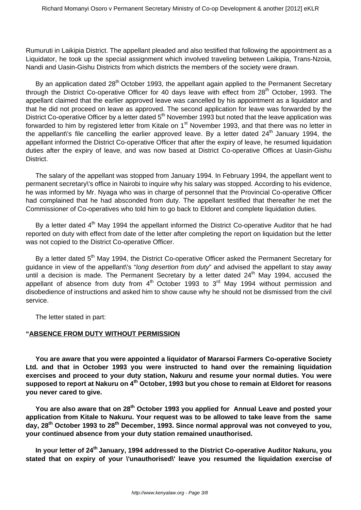Rumuruti in Laikipia District. The appellant pleaded and also testified that following the appointment as a Liquidator, he took up the special assignment which involved traveling between Laikipia, Trans-Nzoia, Nandi and Uasin-Gishu Districts from which districts the members of the society were drawn.

By an application dated  $28<sup>th</sup>$  October 1993, the appellant again applied to the Permanent Secretary through the District Co-operative Officer for 40 days leave with effect from 28<sup>th</sup> October, 1993. The appellant claimed that the earlier approved leave was cancelled by his appointment as a liquidator and that he did not proceed on leave as approved. The second application for leave was forwarded by the District Co-operative Officer by a letter dated 5<sup>th</sup> November 1993 but noted that the leave application was forwarded to him by registered letter from Kitale on 1<sup>st</sup> November 1993, and that there was no letter in the appellant)'s file cancelling the earlier approved leave. By a letter dated  $24<sup>th</sup>$  January 1994, the appellant informed the District Co-operative Officer that after the expiry of leave, he resumed liquidation duties after the expiry of leave, and was now based at District Co-operative Offices at Uasin-Gishu District.

The salary of the appellant was stopped from January 1994. In February 1994, the appellant went to permanent secretary\'s office in Nairobi to inquire why his salary was stopped. According to his evidence, he was informed by Mr. Nyaga who was in charge of personnel that the Provincial Co-operative Officer had complained that he had absconded from duty. The appellant testified that thereafter he met the Commissioner of Co-operatives who told him to go back to Eldoret and complete liquidation duties.

By a letter dated 4<sup>th</sup> May 1994 the appellant informed the District Co-operative Auditor that he had reported on duty with effect from date of the letter after completing the report on liquidation but the letter was not copied to the District Co-operative Officer.

By a letter dated 5<sup>th</sup> May 1994, the District Co-operative Officer asked the Permanent Secretary for guidance in view of the appellant\'s "long desertion from duty" and advised the appellant to stay away until a decision is made. The Permanent Secretary by a letter dated 24<sup>th</sup> May 1994, accused the appellant of absence from duty from  $4<sup>th</sup>$  October 1993 to  $3<sup>rd</sup>$  May 1994 without permission and disobedience of instructions and asked him to show cause why he should not be dismissed from the civil service.

The letter stated in part:

### **"ABSENCE FROM DUTY WITHOUT PERMISSION**

**You are aware that you were appointed a liquidator of Mararsoi Farmers Co-operative Society Ltd. and that in October 1993 you were instructed to hand over the remaining liquidation exercises and proceed to your duty station, Nakuru and resume your normal duties. You were supposed to report at Nakuru on 4th October, 1993 but you chose to remain at Eldoret for reasons you never cared to give.**

**You are also aware that on 28th October 1993 you applied for Annual Leave and posted your application from Kitale to Nakuru. Your request was to be allowed to take leave from the same day, 28th October 1993 to 28th December, 1993. Since normal approval was not conveyed to you, your continued absence from your duty station remained unauthorised.**

**In your letter of 24th January, 1994 addressed to the District Co-operative Auditor Nakuru, you stated that on expiry of your \'unauthorised\' leave you resumed the liquidation exercise of**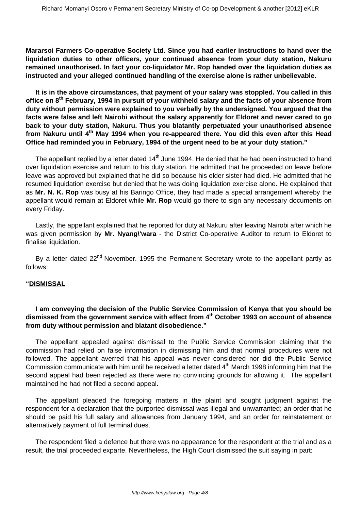**Mararsoi Farmers Co-operative Society Ltd. Since you had earlier instructions to hand over the liquidation duties to other officers, your continued absence from your duty station, Nakuru remained unauthorised. In fact your co-liquidator Mr. Rop handed over the liquidation duties as instructed and your alleged continued handling of the exercise alone is rather unbelievable.**

**It is in the above circumstances, that payment of your salary was stoppled. You called in this office on 8th February, 1994 in pursuit of your withheld salary and the facts of your absence from duty without permission were explained to you verbally by the undersigned. You argued that the facts were false and left Nairobi without the salary apparently for Eldoret and never cared to go back to your duty station, Nakuru. Thus you blatantly perpetuated your unauthorised absence from Nakuru until 4th May 1994 when you re-appeared there. You did this even after this Head Office had reminded you in February, 1994 of the urgent need to be at your duty station."**

The appellant replied by a letter dated 14<sup>th</sup> June 1994. He denied that he had been instructed to hand over liquidation exercise and return to his duty station. He admitted that he proceeded on leave before leave was approved but explained that he did so because his elder sister had died. He admitted that he resumed liquidation exercise but denied that he was doing liquidation exercise alone. He explained that as **Mr. N. K. Rop** was busy at his Baringo Office, they had made a special arrangement whereby the appellant would remain at Eldoret while **Mr. Rop** would go there to sign any necessary documents on every Friday.

Lastly, the appellant explained that he reported for duty at Nakuru after leaving Nairobi after which he was given permission by **Mr. Nyang\'wara** - the District Co-operative Auditor to return to Eldoret to finalise liquidation.

By a letter dated 22<sup>nd</sup> November. 1995 the Permanent Secretary wrote to the appellant partly as follows:

### **"DISMISSAL**

## **I am conveying the decision of the Public Service Commission of Kenya that you should be dismissed from the government service with effect from 4th October 1993 on account of absence from duty without permission and blatant disobedience."**

The appellant appealed against dismissal to the Public Service Commission claiming that the commission had relied on false information in dismissing him and that normal procedures were not followed. The appellant averred that his appeal was never considered nor did the Public Service Commission communicate with him until he received a letter dated  $4<sup>th</sup>$  March 1998 informing him that the second appeal had been rejected as there were no convincing grounds for allowing it. The appellant maintained he had not filed a second appeal.

The appellant pleaded the foregoing matters in the plaint and sought judgment against the respondent for a declaration that the purported dismissal was illegal and unwarranted; an order that he should be paid his full salary and allowances from January 1994, and an order for reinstatement or alternatively payment of full terminal dues.

The respondent filed a defence but there was no appearance for the respondent at the trial and as a result, the trial proceeded exparte. Nevertheless, the High Court dismissed the suit saying in part: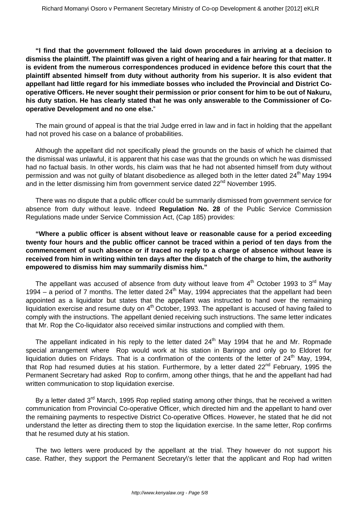**"I find that the government followed the laid down procedures in arriving at a decision to dismiss the plaintiff. The plaintiff was given a right of hearing and a fair hearing for that matter. It is evident from the numerous correspondences produced in evidence before this court that the plaintiff absented himself from duty without authority from his superior. It is also evident that appellant had little regard for his immediate bosses who included the Provincial and District Cooperative Officers. He never sought their permission or prior consent for him to be out of Nakuru, his duty station. He has clearly stated that he was only answerable to the Commissioner of Cooperative Development and no one else.**"

The main ground of appeal is that the trial Judge erred in law and in fact in holding that the appellant had not proved his case on a balance of probabilities.

Although the appellant did not specifically plead the grounds on the basis of which he claimed that the dismissal was unlawful, it is apparent that his case was that the grounds on which he was dismissed had no factual basis. In other words, his claim was that he had not absented himself from duty without permission and was not guilty of blatant disobedience as alleged both in the letter dated 24<sup>th</sup> May 1994 and in the letter dismissing him from government service dated 22<sup>nd</sup> November 1995.

There was no dispute that a public officer could be summarily dismissed from government service for absence from duty without leave. Indeed **Regulation No. 28** of the Public Service Commission Regulations made under Service Commission Act, (Cap 185) provides:

**"Where a public officer is absent without leave or reasonable cause for a period exceeding twenty four hours and the public officer cannot be traced within a period of ten days from the commencement of such absence or if traced no reply to a charge of absence without leave is received from him in writing within ten days after the dispatch of the charge to him, the authority empowered to dismiss him may summarily dismiss him."**

The appellant was accused of absence from duty without leave from  $4<sup>th</sup>$  October 1993 to 3<sup>rd</sup> May 1994 – a period of 7 months. The letter dated  $24<sup>th</sup>$  May, 1994 appreciates that the appellant had been appointed as a liquidator but states that the appellant was instructed to hand over the remaining liquidation exercise and resume duty on 4<sup>th</sup> October, 1993. The appellant is accused of having failed to comply with the instructions. The appellant denied receiving such instructions. The same letter indicates that Mr. Rop the Co-liquidator also received similar instructions and complied with them.

The appellant indicated in his reply to the letter dated 24<sup>th</sup> May 1994 that he and Mr. Ropmade special arrangement where Rop would work at his station in Baringo and only go to Eldoret for liquidation duties on Fridays. That is a confirmation of the contents of the letter of  $24<sup>th</sup>$  May, 1994, that Rop had resumed duties at his station. Furthermore, by a letter dated 22<sup>nd</sup> February, 1995 the Permanent Secretary had asked Rop to confirm, among other things, that he and the appellant had had written communication to stop liquidation exercise.

By a letter dated 3<sup>rd</sup> March, 1995 Rop replied stating among other things, that he received a written communication from Provincial Co-operative Officer, which directed him and the appellant to hand over the remaining payments to respective District Co-operative Offices. However, he stated that he did not understand the letter as directing them to stop the liquidation exercise. In the same letter, Rop confirms that he resumed duty at his station.

The two letters were produced by the appellant at the trial. They however do not support his case. Rather, they support the Permanent Secretary\'s letter that the applicant and Rop had written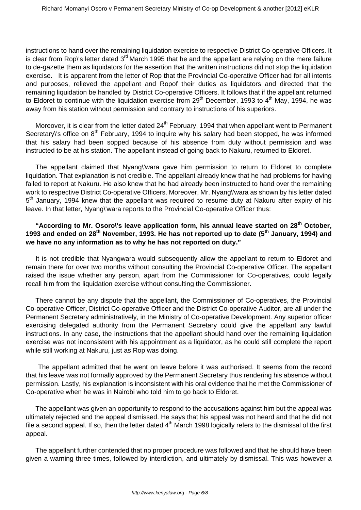instructions to hand over the remaining liquidation exercise to respective District Co-operative Officers. It is clear from Rop\'s letter dated  $3<sup>rd</sup>$  March 1995 that he and the appellant are relying on the mere failure to de-gazette them as liquidators for the assertion that the written instructions did not stop the liquidation exercise. It is apparent from the letter of Rop **t**hat the Provincial Co-operative Officer had for all intents and purposes, relieved the appellant and Ropof their duties as liquidators and directed that the remaining liquidation be handled by District Co-operative Officers. It follows that if the appellant returned to Eldoret to continue with the liquidation exercise from  $29<sup>th</sup>$  December, 1993 to  $4<sup>th</sup>$  May, 1994, he was away from his station without permission and contrary to instructions of his superiors.

Moreover, it is clear from the letter dated 24<sup>th</sup> February, 1994 that when appellant went to Permanent Secretary's office on 8<sup>th</sup> February, 1994 to inquire why his salary had been stopped, he was informed that his salary had been sopped because of his absence from duty without permission and was instructed to be at his station. The appellant instead of going back to Nakuru, returned to Eldoret.

The appellant claimed that Nyang\'wara gave him permission to return to Eldoret to complete liquidation. That explanation is not credible. The appellant already knew that he had problems for having failed to report at Nakuru. He also knew that he had already been instructed to hand over the remaining work to respective District Co-operative Officers. Moreover, Mr. Nyang\'wara as shown by his letter dated 5<sup>th</sup> January, 1994 knew that the appellant was required to resume duty at Nakuru after expiry of his leave. In that letter, Nyang\'wara reports to the Provincial Co-operative Officer thus:

## **"According to Mr. Osoro\'s leave application form, his annual leave started on 28th October, 1993 and ended on 28th November, 1993. He has not reported up to date (5th January, 1994) and we have no any information as to why he has not reported on duty."**

It is not credible that Nyangwara would subsequently allow the appellant to return to Eldoret and remain there for over two months without consulting the Provincial Co-operative Officer. The appellant raised the issue whether any person, apart from the Commissioner for Co-operatives, could legally recall him from the liquidation exercise without consulting the Commissioner.

There cannot be any dispute that the appellant, the Commissioner of Co-operatives, the Provincial Co-operative Officer, District Co-operative Officer and the District Co-operative Auditor, are all under the Permanent Secretary administratively, in the Ministry of Co-operative Development. Any superior officer exercising delegated authority from the Permanent Secretary could give the appellant any lawful instructions. In any case, the instructions that the appellant should hand over the remaining liquidation exercise was not inconsistent with his appointment as a liquidator, as he could still complete the report while still working at Nakuru, just as Rop was doing.

The appellant admitted that he went on leave before it was authorised. It seems from the record that his leave was not formally approved by the Permanent Secretary thus rendering his absence without permission. Lastly, his explanation is inconsistent with his oral evidence that he met the Commissioner of Co-operative when he was in Nairobi who told him to go back to Eldoret.

The appellant was given an opportunity to respond to the accusations against him but the appeal was ultimately rejected and the appeal dismissed. He says that his appeal was not heard and that he did not file a second appeal. If so, then the letter dated  $4<sup>th</sup>$  March 1998 logically refers to the dismissal of the first appeal.

The appellant further contended that no proper procedure was followed and that he should have been given a warning three times, followed by interdiction, and ultimately by dismissal. This was however a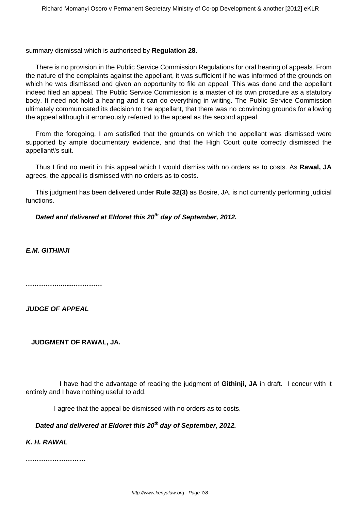summary dismissal which is authorised by **Regulation 28.**

There is no provision in the Public Service Commission Regulations for oral hearing of appeals. From the nature of the complaints against the appellant, it was sufficient if he was informed of the grounds on which he was dismissed and given an opportunity to file an appeal. This was done and the appellant indeed filed an appeal. The Public Service Commission is a master of its own procedure as a statutory body. It need not hold a hearing and it can do everything in writing. The Public Service Commission ultimately communicated its decision to the appellant, that there was no convincing grounds for allowing the appeal although it erroneously referred to the appeal as the second appeal.

From the foregoing, I am satisfied that the grounds on which the appellant was dismissed were supported by ample documentary evidence, and that the High Court quite correctly dismissed the appellant\'s suit.

Thus I find no merit in this appeal which I would dismiss with no orders as to costs. As **Rawal, JA** agrees, the appeal is dismissed with no orders as to costs.

This judgment has been delivered under **Rule 32(3)** as Bosire, JA. is not currently performing judicial functions.

**Dated and delivered at Eldoret this 20th day of September, 2012.**

**E.M. GITHIN.II** 

**…………….........…………**

**JUDGE OF APPEAL**

### **JUDGMENT OF RAWAL, JA.**

 I have had the advantage of reading the judgment of **Githinji, JA** in draft. I concur with it entirely and I have nothing useful to add.

I agree that the appeal be dismissed with no orders as to costs.

**Dated and delivered at Eldoret this 20th day of September, 2012.**

**K. H. RAWAL**

**………………………**